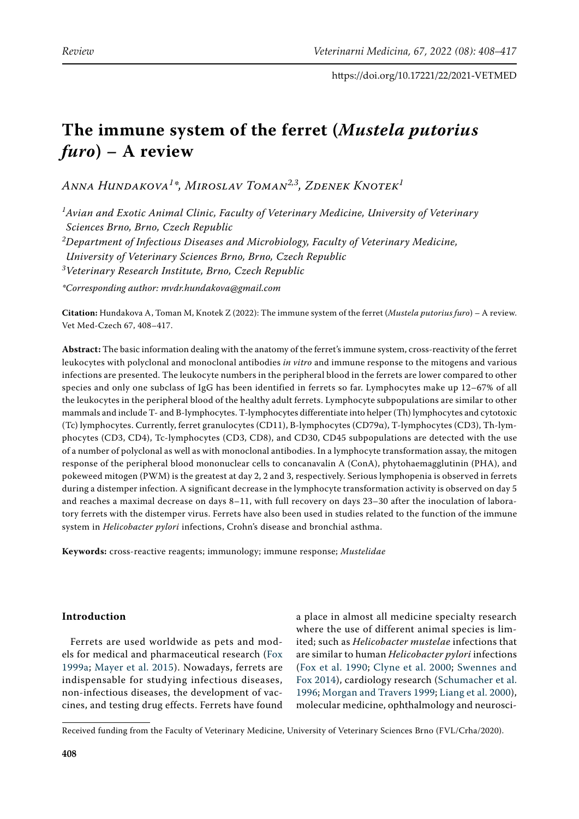# **The immune system of the ferret (***Mustela putorius furo***) – A review**

*Anna Hundakova<sup>1</sup> \*, Miroslav Toman2,3, Zdenek Knotek1*

*1 Avian and Exotic Animal Clinic, Faculty of Veterinary Medicine, University of Veterinary Sciences Brno, Brno, Czech Republic*

*2 Department of Infectious Diseases and Microbiology, Faculty of Veterinary Medicine,*

*University of Veterinary Sciences Brno, Brno, Czech Republic*

*3 Veterinary Research Institute, Brno, Czech Republic*

*\*Corresponding author: mvdr.hundakova@gmail.com*

**Citation:** Hundakova A, Toman M, Knotek Z (2022): The immune system of the ferret (*Mustela putorius furo*) – A review. Vet Med-Czech 67, 408–417.

**Abstract:** The basic information dealing with the anatomy of the ferret's immune system, cross-reactivity of the ferret leukocytes with polyclonal and monoclonal antibodies *in vitro* and immune response to the mitogens and various infections are presented. The leukocyte numbers in the peripheral blood in the ferrets are lower compared to other species and only one subclass of IgG has been identified in ferrets so far. Lymphocytes make up 12–67% of all the leukocytes in the peripheral blood of the healthy adult ferrets. Lymphocyte subpopulations are similar to other mammals and include T- and B-lymphocytes. T-lymphocytes differentiate into helper (Th) lymphocytes and cytotoxic (Tc) lymphocytes. Currently, ferret granulocytes (CD11), B-lymphocytes (CD79α), T-lymphocytes (CD3), Th-lymphocytes (CD3, CD4), Tc-lymphocytes (CD3, CD8), and CD30, CD45 subpopulations are detected with the use of a number of polyclonal as well as with monoclonal antibodies. In a lymphocyte transformation assay, the mitogen response of the peripheral blood mononuclear cells to concanavalin A (ConA), phytohaemagglutinin (PHA), and pokeweed mitogen (PWM) is the greatest at day 2, 2 and 3, respectively. Serious lymphopenia is observed in ferrets during a distemper infection. A significant decrease in the lymphocyte transformation activity is observed on day 5 and reaches a maximal decrease on days 8–11, with full recovery on days 23–30 after the inoculation of laboratory ferrets with the distemper virus. Ferrets have also been used in studies related to the function of the immune system in *Helicobacter pylori* infections, Crohn's disease and bronchial asthma.

**Keywords:** cross-reactive reagents; immunology; immune response; *Mustelidae*

# **Introduction**

Ferrets are used worldwide as pets and models for medical and pharmaceutical research [\(Fox](#page-6-0)  [1999a](#page-6-0); [Mayer et al. 2015\)](#page-7-0). Nowadays, ferrets are indispensable for studying infectious diseases, non-infectious diseases, the development of vaccines, and testing drug effects. Ferrets have found a place in almost all medicine specialty research where the use of different animal species is limited; such as *Helicobacter mustelae* infections that are similar to human *Helicobacter pylori* infections ([Fox et al. 1990](#page-6-1); [Clyne et al. 2000](#page-6-2); [Swennes and](#page-9-0) [Fox 2014\)](#page-9-0), cardiology research [\(Schumacher et al.](#page-8-0) [1996;](#page-8-0) [Morgan and Travers 1999](#page-8-1); [Liang et al. 2000](#page-7-1)), molecular medicine, ophthalmology and neurosci-

Received funding from the Faculty of Veterinary Medicine, University of Veterinary Sciences Brno (FVL/Crha/2020).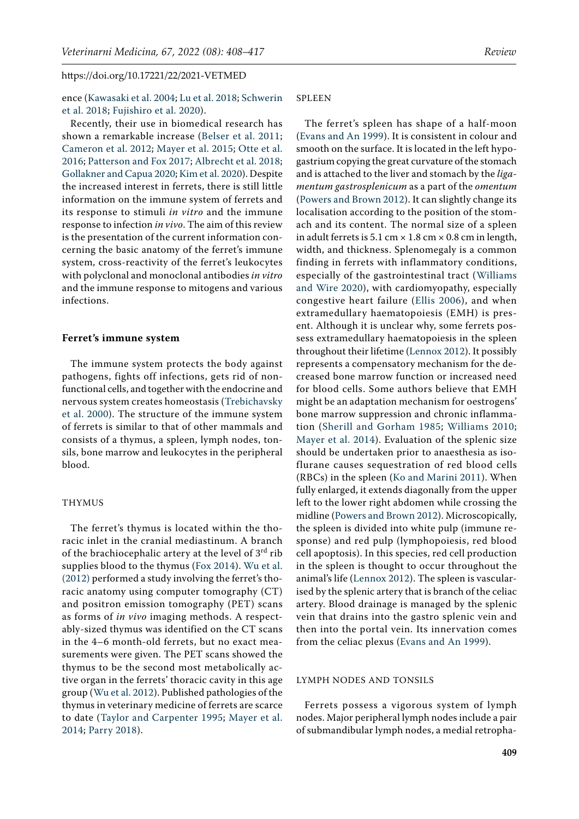ence [\(Kawasaki et al. 2004](#page-7-2); [Lu et al. 2018;](#page-7-3) [Schwerin](#page-8-2)  [et al. 2018;](#page-8-2) [Fujishiro et al. 2020\)](#page-7-4).

Recently, their use in biomedical research has shown a remarkable increase ([Belser et al. 2011](#page-6-3); [Cameron et al. 2012;](#page-6-4) [Mayer et al. 2015;](#page-7-0) [Otte et al.](#page-8-3)  [2016;](#page-8-3) [Patterson and Fox 2017;](#page-8-4) [Albrecht et al. 2018](#page-6-5); [Gollakner and Capua 2020](#page-7-5); [Kim et al. 2020\)](#page-7-6). Despite the increased interest in ferrets, there is still little information on the immune system of ferrets and its response to stimuli *in vitro* and the immune response to infection *in vivo*. The aim of this review is the presentation of the current information concerning the basic anatomy of the ferret's immune system, cross-reactivity of the ferret's leukocytes with polyclonal and monoclonal antibodies *in vitro*  and the immune response to mitogens and various infections.

#### **Ferret's immune system**

The immune system protects the body against pathogens, fights off infections, gets rid of nonfunctional cells, and together with the endocrine and nervous system creates homeostasis ([Trebichavsky](#page-9-1)  [et al. 2000\)](#page-9-1). The structure of the immune system of ferrets is similar to that of other mammals and consists of a thymus, a spleen, lymph nodes, tonsils, bone marrow and leukocytes in the peripheral blood.

#### THYMUS

The ferret's thymus is located within the thoracic inlet in the cranial mediastinum. A branch of the brachiocephalic artery at the level of  $3<sup>rd</sup>$  rib supplies blood to the thymus ([Fox 2014\)](#page-7-7). [Wu et al.](#page-9-2)  [\(2012\)](#page-9-2) performed a study involving the ferret's thoracic anatomy using computer tomography (CT) and positron emission tomography (PET) scans as forms of *in vivo* imaging methods. A respectably-sized thymus was identified on the CT scans in the 4–6 month-old ferrets, but no exact measurements were given. The PET scans showed the thymus to be the second most metabolically active organ in the ferrets' thoracic cavity in this age group ([Wu et al. 2012](#page-9-2)). Published pathologies of the thymus in veterinary medicine of ferrets are scarce to date ([Taylor and Carpenter 1995](#page-9-3); [Mayer et al.](#page-7-8)  [2014;](#page-7-8) [Parry 2018\)](#page-8-5).

## SPLEEN

The ferret's spleen has shape of a half-moon [\(Evans and An 1999\)](#page-6-6). It is consistent in colour and smooth on the surface. It is located in the left hypogastrium copying the great curvature of the stomach and is attached to the liver and stomach by the *ligamentum gastrosplenicum* as a part of the *omentum* [\(Powers and Brown 2012\)](#page-8-6). It can slightly change its localisation according to the position of the stomach and its content. The normal size of a spleen in adult ferrets is  $5.1 \text{ cm} \times 1.8 \text{ cm} \times 0.8 \text{ cm}$  in length, width, and thickness. Splenomegaly is a common finding in ferrets with inflammatory conditions, especially of the gastrointestinal tract ([Williams](#page-9-4) [and Wire 2020](#page-9-4)), with cardiomyopathy, especially congestive heart failure ([Ellis 2006](#page-6-7)), and when extramedullary haematopoiesis (EMH) is present. Although it is unclear why, some ferrets possess extramedullary haematopoiesis in the spleen throughout their lifetime ([Lennox 2012](#page-7-9)). It possibly represents a compensatory mechanism for the decreased bone marrow function or increased need for blood cells. Some authors believe that EMH might be an adaptation mechanism for oestrogens' bone marrow suppression and chronic inflammation ([Sherill and Gorham 1985;](#page-8-7) [Williams 2010](#page-9-5); [Mayer et al. 2014\)](#page-7-8). Evaluation of the splenic size should be undertaken prior to anaesthesia as isoflurane causes sequestration of red blood cells (RBCs) in the spleen ([Ko and Marini 2011](#page-7-10)). When fully enlarged, it extends diagonally from the upper left to the lower right abdomen while crossing the midline [\(Powers and Brown 2012](#page-8-6)). Microscopically, the spleen is divided into white pulp (immune response) and red pulp (lymphopoiesis, red blood cell apoptosis). In this species, red cell production in the spleen is thought to occur throughout the animal's life [\(Lennox 2012](#page-7-9)). The spleen is vascularised by the splenic artery that is branch of the celiac artery. Blood drainage is managed by the splenic vein that drains into the gastro splenic vein and then into the portal vein. Its innervation comes from the celiac plexus [\(Evans and An 1999\)](#page-6-6).

## LYMPH NODES AND TONSILS

Ferrets possess a vigorous system of lymph nodes. Major peripheral lymph nodes include a pair of submandibular lymph nodes, a medial retropha-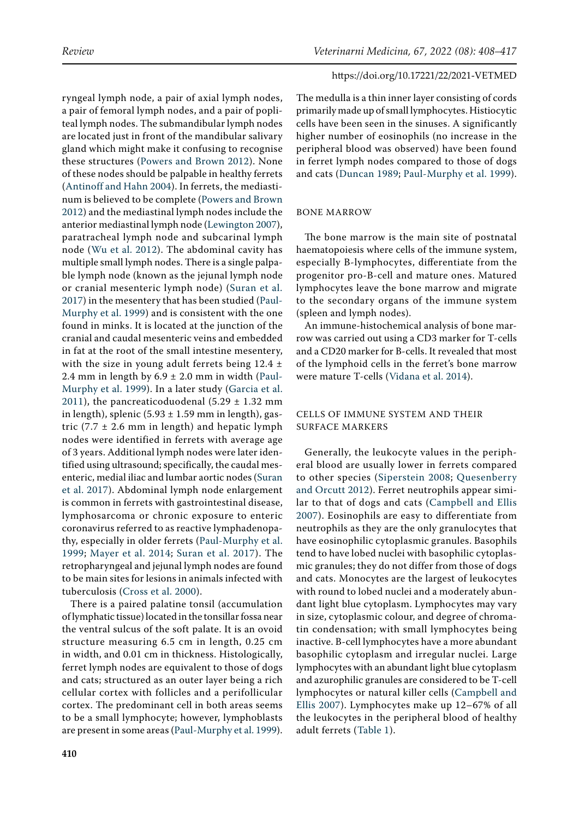ryngeal lymph node, a pair of axial lymph nodes, a pair of femoral lymph nodes, and a pair of popliteal lymph nodes. The submandibular lymph nodes are located just in front of the mandibular salivary gland which might make it confusing to recognise these structures [\(Powers and Brown 2012](#page-8-6)). None of these nodes should be palpable in healthy ferrets [\(Antinoff and Hahn 2004](#page-6-8)). In ferrets, the mediastinum is believed to be complete [\(Powers and Brown](#page-8-6)  [2012\)](#page-8-6) and the mediastinal lymph nodes include the anterior mediastinal lymph node [\(Lewington 2007\)](#page-7-11), paratracheal lymph node and subcarinal lymph node ([Wu et al. 2012\)](#page-9-2). The abdominal cavity has multiple small lymph nodes. There is a single palpable lymph node (known as the jejunal lymph node or cranial mesenteric lymph node) ([Suran et al.](#page-9-6)  [2017](#page-9-6)) in the mesentery that has been studied ([Paul-](#page-8-8)[Murphy et al. 1999](#page-8-8)) and is consistent with the one found in minks. It is located at the junction of the cranial and caudal mesenteric veins and embedded in fat at the root of the small intestine mesentery, with the size in young adult ferrets being  $12.4 \pm$ 2.4 mm in length by  $6.9 \pm 2.0$  mm in width ([Paul-](#page-8-8)[Murphy et al. 1999\)](#page-8-8). In a later study [\(Garcia et al.](#page-7-12)  [2011](#page-7-12)), the pancreaticoduodenal  $(5.29 \pm 1.32 \text{ mm})$ in length), splenic  $(5.93 \pm 1.59 \text{ mm in length})$ , gastric  $(7.7 \pm 2.6 \text{ mm in length})$  and hepatic lymph nodes were identified in ferrets with average age of 3 years. Additional lymph nodes were later identified using ultrasound; specifically, the caudal mesenteric, medial iliac and lumbar aortic nodes [\(Suran](#page-9-6)  [et al. 2017](#page-9-6)). Abdominal lymph node enlargement is common in ferrets with gastrointestinal disease, lymphosarcoma or chronic exposure to enteric coronavirus referred to as reactive lymphadenopathy, especially in older ferrets ([Paul-Murphy et al.](#page-8-8)  [1999](#page-8-8); [Mayer et al. 2014;](#page-7-8) [Suran et al. 2017](#page-9-6)). The retropharyngeal and jejunal lymph nodes are found to be main sites for lesions in animals infected with tuberculosis [\(Cross et al. 2000\)](#page-6-9).

There is a paired palatine tonsil (accumulation of lymphatic tissue) located in the tonsillar fossa near the ventral sulcus of the soft palate. It is an ovoid structure measuring 6.5 cm in length, 0.25 cm in width, and 0.01 cm in thickness. Histologically, ferret lymph nodes are equivalent to those of dogs and cats; structured as an outer layer being a rich cellular cortex with follicles and a perifollicular cortex. The predominant cell in both areas seems to be a small lymphocyte; however, lymphoblasts are present in some areas [\(Paul-Murphy et al. 1999\)](#page-8-8).

The medulla is a thin inner layer consisting of cords primarily made up of small lymphocytes. Histiocytic cells have been seen in the sinuses. A significantly higher number of eosinophils (no increase in the peripheral blood was observed) have been found in ferret lymph nodes compared to those of dogs and cats ([Duncan 1989;](#page-6-10) [Paul-Murphy et al. 1999](#page-8-8)).

#### BONE MARROW

The bone marrow is the main site of postnatal haematopoiesis where cells of the immune system, especially B-lymphocytes, differentiate from the progenitor pro-B-cell and mature ones. Matured lymphocytes leave the bone marrow and migrate to the secondary organs of the immune system (spleen and lymph nodes).

An immune-histochemical analysis of bone marrow was carried out using a CD3 marker for T-cells and a CD20 marker for B-cells. It revealed that most of the lymphoid cells in the ferret's bone marrow were mature T-cells ([Vidana et al. 2014](#page-9-7)).

## CELLS OF IMMUNE SYSTEM AND THEIR SURFACE MARKERS

Generally, the leukocyte values in the peripheral blood are usually lower in ferrets compared to other species ([Siperstein 2008](#page-8-9); [Quesenberry](#page-8-10) [and Orcutt 2012\)](#page-8-10). Ferret neutrophils appear similar to that of dogs and cats ([Campbell and Ellis](#page-6-11) [2007](#page-6-11)). Eosinophils are easy to differentiate from neutrophils as they are the only granulocytes that have eosinophilic cytoplasmic granules. Basophils tend to have lobed nuclei with basophilic cytoplasmic granules; they do not differ from those of dogs and cats. Monocytes are the largest of leukocytes with round to lobed nuclei and a moderately abundant light blue cytoplasm. Lymphocytes may vary in size, cytoplasmic colour, and degree of chromatin condensation; with small lymphocytes being inactive. B-cell lymphocytes have a more abundant basophilic cytoplasm and irregular nuclei. Large lymphocytes with an abundant light blue cytoplasm and azurophilic granules are considered to be T-cell lymphocytes or natural killer cells ([Campbell and](#page-6-11) [Ellis 2007](#page-6-11)). Lymphocytes make up 12–67% of all the leukocytes in the peripheral blood of healthy adult ferrets ([Table 1\)](#page-3-0).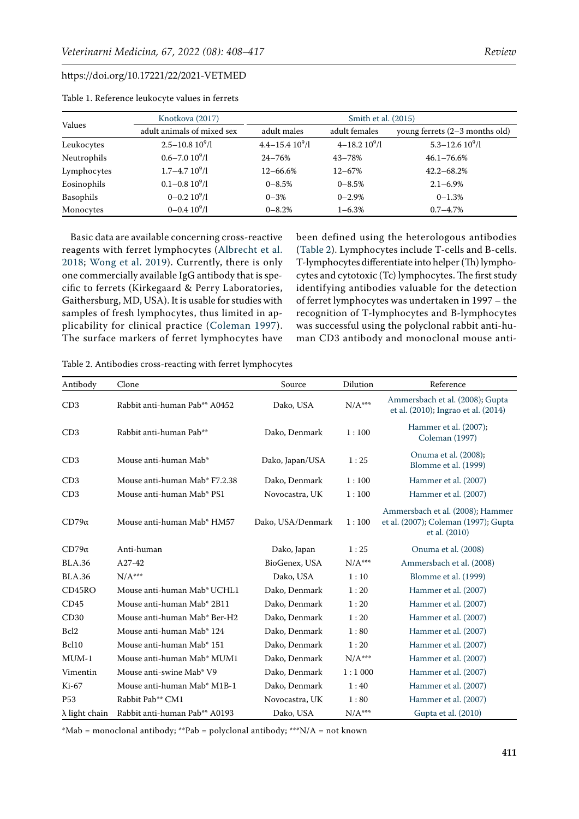| Values      | Knotkova (2017)            | Smith et al. (2015)   |                     |                                  |  |
|-------------|----------------------------|-----------------------|---------------------|----------------------------------|--|
|             | adult animals of mixed sex | adult males           | adult females       | young ferrets $(2-3$ months old) |  |
| Leukocytes  | $2.5 - 10.810^{9}$ /l      | $4.4 - 15.410^{9}$ /l | $4 - 18.210^{9}$ /l | $5.3 - 12.610^{9}$ /l            |  |
| Neutrophils | $0.6 - 7.0 10^{9}$ /l      | $24 - 76%$            | $43 - 78%$          | $46.1 - 76.6\%$                  |  |
| Lymphocytes | $1.7 - 4.7$ $10^{9}/l$     | $12 - 66.6\%$         | $12 - 67%$          | $42.2 - 68.2%$                   |  |
| Eosinophils | $0.1 - 0.810^{9}$ /l       | $0 - 8.5%$            | $0 - 8.5%$          | $2.1 - 6.9\%$                    |  |
| Basophils   | $0 - 0.210\frac{9}{1}$     | $0 - 3%$              | $0 - 2.9%$          | $0 - 1.3%$                       |  |
| Monocytes   | $0 - 0.410^{9}$ /l         | $0 - 8.2%$            | $1 - 6.3\%$         | $0.7 - 4.7\%$                    |  |

<span id="page-3-0"></span>Table 1. Reference leukocyte values in ferrets

Basic data are available concerning cross-reactive reagents with ferret lymphocytes ([Albrecht et al.](#page-6-5)  [2018](#page-6-5); [Wong et al. 2019\)](#page-9-8). Currently, there is only one commercially available IgG antibody that is specific to ferrets (Kirkegaard & Perry Laboratories, Gaithersburg, MD, USA). It is usable for studies with samples of fresh lymphocytes, thus limited in applicability for clinical practice ([Coleman 1997](#page-6-12)). The surface markers of ferret lymphocytes have been defined using the heterologous antibodies [\(Table 2\)](#page-3-1). Lymphocytes include T-cells and B-cells. T-lymphocytes differentiate into helper (Th) lymphocytes and cytotoxic (Tc) lymphocytes. The first study identifying antibodies valuable for the detection of ferret lymphocytes was undertaken in 1997 – the recognition of T-lymphocytes and B-lymphocytes was successful using the polyclonal rabbit anti-human CD3 antibody and monoclonal mouse anti-

<span id="page-3-1"></span>Table 2. Antibodies cross-reacting with ferret lymphocytes

| Antibody              | Clone                                   | Source            | Dilution        | Reference                                                                                 |
|-----------------------|-----------------------------------------|-------------------|-----------------|-------------------------------------------------------------------------------------------|
| CD3                   | Rabbit anti-human Pab** A0452           | Dako, USA         | $\rm N/A^{***}$ | Ammersbach et al. (2008); Gupta<br>et al. (2010); Ingrao et al. (2014)                    |
| CD3                   | Rabbit anti-human Pab**                 | Dako, Denmark     | 1:100           | Hammer et al. (2007);<br>Coleman (1997)                                                   |
| CD3                   | Mouse anti-human Mab*                   | Dako, Japan/USA   | 1:25            | Onuma et al. (2008);<br>Blomme et al. (1999)                                              |
| CD3                   | Mouse anti-human Mab* F7.2.38           | Dako, Denmark     | 1:100           | Hammer et al. (2007)                                                                      |
| CD3                   | Mouse anti-human Mab* PS1               | Novocastra, UK    | 1:100           | Hammer et al. (2007)                                                                      |
| $CD79\alpha$          | Mouse anti-human Mab* HM57              | Dako, USA/Denmark | 1:100           | Ammersbach et al. (2008); Hammer<br>et al. (2007); Coleman (1997); Gupta<br>et al. (2010) |
| $CD79\alpha$          | Anti-human                              | Dako, Japan       | 1:25            | Onuma et al. (2008)                                                                       |
| <b>BLA.36</b>         | A27-42                                  | BioGenex, USA     | $N/A***$        | Ammersbach et al. (2008)                                                                  |
| <b>BLA.36</b>         | $N/A***$                                | Dako, USA         | 1:10            | Blomme et al. (1999)                                                                      |
| CD45RO                | Mouse anti-human Mab <sup>*</sup> UCHL1 | Dako, Denmark     | 1:20            | Hammer et al. (2007)                                                                      |
| CD45                  | Mouse anti-human Mab* 2B11              | Dako, Denmark     | 1:20            | Hammer et al. (2007)                                                                      |
| CD30                  | Mouse anti-human Mab* Ber-H2            | Dako, Denmark     | 1:20            | Hammer et al. (2007)                                                                      |
| Bcl <sub>2</sub>      | Mouse anti-human Mab* 124               | Dako, Denmark     | 1:80            | Hammer et al. (2007)                                                                      |
| Bcl10                 | Mouse anti-human Mab* 151               | Dako, Denmark     | 1:20            | Hammer et al. (2007)                                                                      |
| $MUM-1$               | Mouse anti-human Mab* MUM1              | Dako, Denmark     | $N/A***$        | Hammer et al. (2007)                                                                      |
| Vimentin              | Mouse anti-swine Mab* V9                | Dako, Denmark     | 1:1000          | Hammer et al. (2007)                                                                      |
| Ki-67                 | Mouse anti-human Mab* M1B-1             | Dako, Denmark     | 1:40            | Hammer et al. (2007)                                                                      |
| P <sub>53</sub>       | Rabbit Pab** CM1                        | Novocastra, UK    | 1:80            | Hammer et al. (2007)                                                                      |
| $\lambda$ light chain | Rabbit anti-human Pab** A0193           | Dako, USA         | $N/A***$        | Gupta et al. (2010)                                                                       |

\*Mab = monoclonal antibody; \*\*Pab = polyclonal antibody; \*\*\*N/A = not known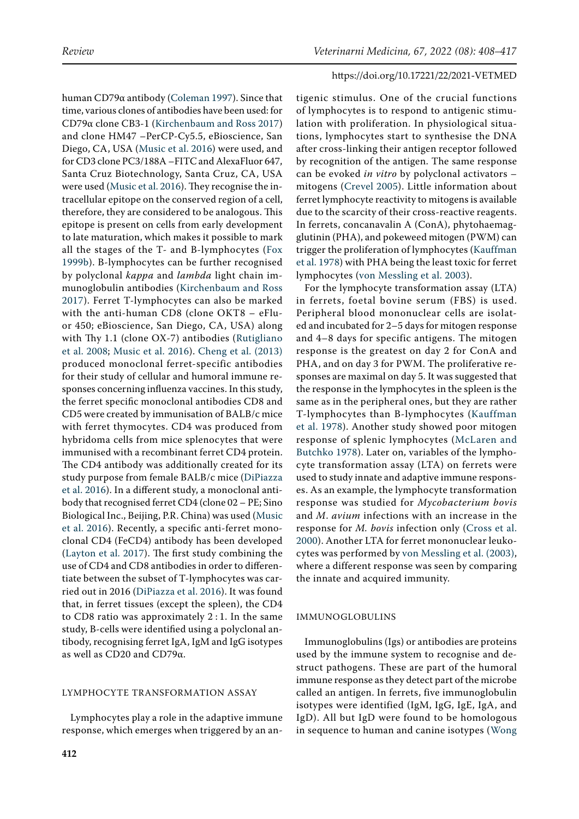human CD79α antibody ([Coleman 1997](#page-6-12)). Since that time, various clones of antibodies have been used: for CD79α clone CB3-1 ([Kirchenbaum and Ross 2017](#page-7-17)) and clone HM47 –PerCP-Cy5.5, eBioscience, San Diego, CA, USA ([Music et al. 2016](#page-8-13)) were used, and for CD3 clone PC3/188A –FITC and AlexaFluor 647, Santa Cruz Biotechnology, Santa Cruz, CA, USA were used ([Music et al. 2016\)](#page-8-13). They recognise the intracellular epitope on the conserved region of a cell, therefore, they are considered to be analogous. This epitope is present on cells from early development to late maturation, which makes it possible to mark all the stages of the T- and B-lymphocytes ([Fox](#page-6-15)  [1999b](#page-6-15)). B-lymphocytes can be further recognised by polyclonal *kappa* and *lambda* light chain immunoglobulin antibodies ([Kirchenbaum and Ross](#page-7-17)  [2017](#page-7-17)). Ferret T-lymphocytes can also be marked with the anti-human CD8 (clone OKT8 – eFluor 450; eBioscience, San Diego, CA, USA) along with Thy 1.1 (clone OX-7) antibodies ([Rutigliano](#page-8-14)  [et al. 2008;](#page-8-14) [Music et al. 2016\)](#page-8-13). [Cheng et al. \(2013\)](#page-6-16) produced monoclonal ferret-specific antibodies for their study of cellular and humoral immune responses concerning influenza vaccines. In this study, the ferret specific monoclonal antibodies CD8 and CD5 were created by immunisation of BALB/c mice with ferret thymocytes. CD4 was produced from hybridoma cells from mice splenocytes that were immunised with a recombinant ferret CD4 protein. The CD4 antibody was additionally created for its study purpose from female BALB/c mice ([DiPiazza](#page-6-17)  [et al. 2016](#page-6-17)). In a different study, a monoclonal antibody that recognised ferret CD4 (clone 02 – PE; Sino Biological Inc., Beijing, P.R. China) was used [\(Music](#page-8-13)  [et al. 2016](#page-8-13)). Recently, a specific anti-ferret monoclonal CD4 (FeCD4) antibody has been developed [\(Layton et al. 2017](#page-7-18)). The first study combining the use of CD4 and CD8 antibodies in order to differentiate between the subset of T-lymphocytes was carried out in 2016 ([DiPiazza et al. 2016](#page-6-17)). It was found that, in ferret tissues (except the spleen), the CD4 to CD8 ratio was approximately 2 : 1. In the same study, B-cells were identified using a polyclonal antibody, recognising ferret IgA, IgM and IgG isotypes as well as CD20 and CD79α.

## LYMPHOCYTE TRANSFORMATION ASSAY

Lymphocytes play a role in the adaptive immune response, which emerges when triggered by an antigenic stimulus. One of the crucial functions of lymphocytes is to respond to antigenic stimulation with proliferation. In physiological situations, lymphocytes start to synthesise the DNA after cross-linking their antigen receptor followed by recognition of the antigen. The same response can be evoked *in vitro* by polyclonal activators – mitogens ([Crevel 2005](#page-6-18)). Little information about ferret lymphocyte reactivity to mitogens is available due to the scarcity of their cross-reactive reagents. In ferrets, concanavalin A (ConA), phytohaemagglutinin (PHA), and pokeweed mitogen (PWM) can trigger the proliferation of lymphocytes ([Kauffman](#page-7-19) [et al. 1978](#page-7-19)) with PHA being the least toxic for ferret lymphocytes [\(von Messling et al. 2003](#page-9-9)).

For the lymphocyte transformation assay (LTA) in ferrets, foetal bovine serum (FBS) is used. Peripheral blood mononuclear cells are isolated and incubated for 2–5 days for mitogen response and 4–8 days for specific antigens. The mitogen response is the greatest on day 2 for ConA and PHA, and on day 3 for PWM. The proliferative responses are maximal on day 5. It was suggested that the response in the lymphocytes in the spleen is the same as in the peripheral ones, but they are rather T-lymphocytes than B-lymphocytes ([Kauffman](#page-7-19) [et al. 1978](#page-7-19)). Another study showed poor mitogen response of splenic lymphocytes ([McLaren and](#page-7-20) [Butchko 1978\)](#page-7-20). Later on, variables of the lymphocyte transformation assay (LTA) on ferrets were used to study innate and adaptive immune responses. As an example, the lymphocyte transformation response was studied for *Mycobacterium bovis* and *M*. *avium* infections with an increase in the response for *M. bovis* infection only ([Cross et al.](#page-6-9) [2000\)](#page-6-9). Another LTA for ferret mononuclear leukocytes was performed by [von Messling et al. \(2003\)](#page-9-9), where a different response was seen by comparing the innate and acquired immunity.

#### IMMUNOGLOBULINS

Immunoglobulins (Igs) or antibodies are proteins used by the immune system to recognise and destruct pathogens. These are part of the humoral immune response as they detect part of the microbe called an antigen. In ferrets, five immunoglobulin isotypes were identified (IgM, IgG, IgE, IgA, and IgD). All but IgD were found to be homologous in sequence to human and canine isotypes ([Wong](#page-9-10)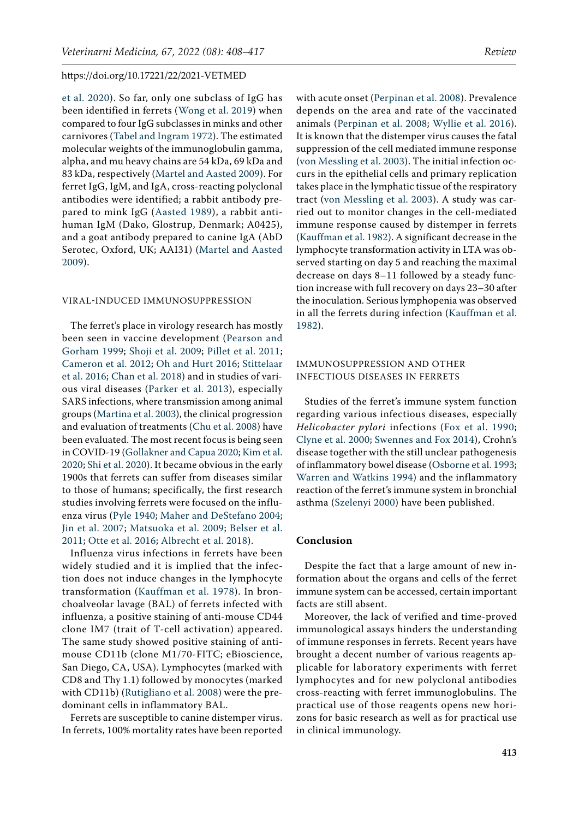[et al. 2020\)](#page-9-10). So far, only one subclass of IgG has been identified in ferrets ([Wong et al. 2019\)](#page-9-8) when compared to four IgG subclasses in minks and other carnivores ([Tabel and Ingram 1972\)](#page-9-11). The estimated molecular weights of the immunoglobulin gamma, alpha, and mu heavy chains are 54 kDa, 69 kDa and 83 kDa, respectively ([Martel and Aasted 2009](#page-7-21)). For ferret IgG, IgM, and IgA, cross-reacting polyclonal antibodies were identified; a rabbit antibody prepared to mink IgG [\(Aasted 1989](#page-6-19)), a rabbit antihuman IgM (Dako, Glostrup, Denmark; A0425), and a goat antibody prepared to canine IgA (AbD Serotec, Oxford, UK; AAI31) ([Martel and Aasted](#page-7-21)  [2009\)](#page-7-21).

#### VIRAL-INDUCED IMMUNOSUPPRESSION

The ferret's place in virology research has mostly been seen in vaccine development ([Pearson and](#page-8-15)  [Gorham 1999](#page-8-15); [Shoji et al. 2009](#page-8-16); [Pillet et al. 2011](#page-8-17); [Cameron et al. 2012](#page-6-4); [Oh and Hurt 2016](#page-8-18); [Stittelaar](#page-8-19)  [et al. 2016;](#page-8-19) [Chan et al. 2018](#page-6-20)) and in studies of various viral diseases ([Parker et al. 2013](#page-8-20)), especially SARS infections, where transmission among animal groups ([Martina et al. 2003](#page-7-22)), the clinical progression and evaluation of treatments ([Chu et al. 2008](#page-6-21)) have been evaluated. The most recent focus is being seen in COVID-19 ([Gollakner and Capua 2020](#page-7-5); [Kim et al.](#page-7-6)  [2020](#page-7-6); [Shi et al. 2020\)](#page-8-21). It became obvious in the early 1900s that ferrets can suffer from diseases similar to those of humans; specifically, the first research studies involving ferrets were focused on the influenza virus ([Pyle 1940;](#page-8-22) [Maher and DeStefano 2004](#page-7-23); [Jin et al. 2007;](#page-7-24) [Matsuoka et al. 2009](#page-7-25); [Belser et al.](#page-6-3)  [2011;](#page-6-3) [Otte et al. 2016](#page-8-3); [Albrecht et al. 2018\)](#page-6-5).

Influenza virus infections in ferrets have been widely studied and it is implied that the infection does not induce changes in the lymphocyte transformation ([Kauffman et al. 1978](#page-7-19)). In bronchoalveolar lavage (BAL) of ferrets infected with influenza, a positive staining of anti-mouse CD44 clone IM7 (trait of T-cell activation) appeared. The same study showed positive staining of antimouse CD11b (clone M1/70-FITC; eBioscience, San Diego, CA, USA). Lymphocytes (marked with CD8 and Thy 1.1) followed by monocytes (marked with CD11b) ([Rutigliano et al. 2008](#page-8-14)) were the predominant cells in inflammatory BAL.

Ferrets are susceptible to canine distemper virus. In ferrets, 100% mortality rates have been reported

with acute onset ([Perpinan et al. 2008\)](#page-8-23). Prevalence depends on the area and rate of the vaccinated animals ([Perpinan et al. 2008](#page-8-23); [Wyllie et al. 2016](#page-9-12)). It is known that the distemper virus causes the fatal suppression of the cell mediated immune response [\(von Messling et al. 2003](#page-9-9)). The initial infection occurs in the epithelial cells and primary replication takes place in the lymphatic tissue of the respiratory tract [\(von Messling et al. 2003](#page-9-9)). A study was carried out to monitor changes in the cell-mediated immune response caused by distemper in ferrets [\(Kauffman et al. 1982\)](#page-7-26). A significant decrease in the lymphocyte transformation activity in LTA was observed starting on day 5 and reaching the maximal decrease on days 8–11 followed by a steady function increase with full recovery on days 23–30 after the inoculation. Serious lymphopenia was observed in all the ferrets during infection ([Kauffman et al.](#page-7-26) [1982\)](#page-7-26).

## IMMUNOSUPPRESSION AND OTHER INFECTIOUS DISEASES IN FERRETS

Studies of the ferret's immune system function regarding various infectious diseases, especially *Helicobacter pylori* infections ([Fox et al. 1990](#page-6-1); [Clyne et al. 2000](#page-6-2); [Swennes and Fox 2014\)](#page-9-0), Crohn's disease together with the still unclear pathogenesis of inflammatory bowel disease [\(Osborne et al. 1993](#page-8-24); [Warren and Watkins 1994\)](#page-9-13) and the inflammatory reaction of the ferret's immune system in bronchial asthma [\(Szelenyi 2000](#page-9-14)) have been published.

## **Conclusion**

Despite the fact that a large amount of new information about the organs and cells of the ferret immune system can be accessed, certain important facts are still absent.

Moreover, the lack of verified and time-proved immunological assays hinders the understanding of immune responses in ferrets. Recent years have brought a decent number of various reagents applicable for laboratory experiments with ferret lymphocytes and for new polyclonal antibodies cross-reacting with ferret immunoglobulins. The practical use of those reagents opens new horizons for basic research as well as for practical use in clinical immunology.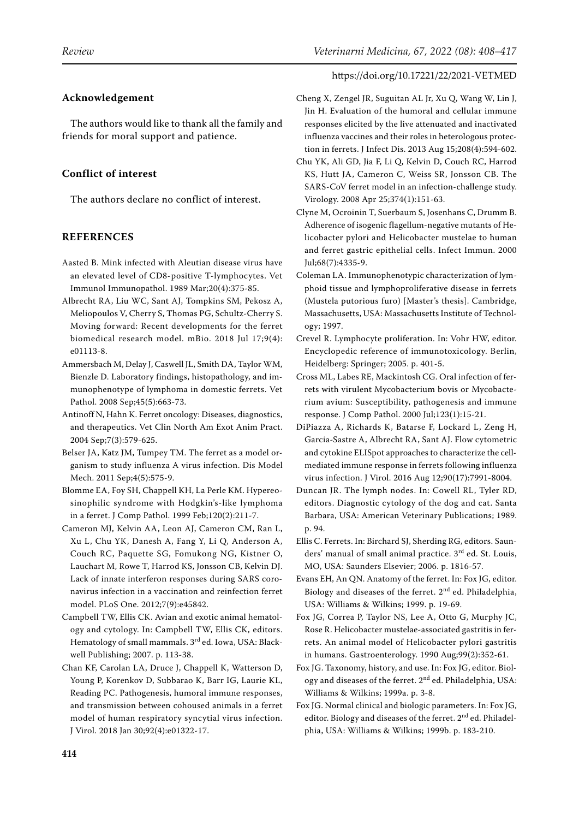## **Acknowledgement**

The authors would like to thank all the family and friends for moral support and patience.

# **Conflict of interest**

The authors declare no conflict of interest.

# **REFERENCES**

- <span id="page-6-19"></span>Aasted B. Mink infected with Aleutian disease virus have an elevated level of CD8-positive T-lymphocytes. Vet Immunol Immunopathol. 1989 Mar;20(4):375-85.
- <span id="page-6-5"></span>Albrecht RA, Liu WC, Sant AJ, Tompkins SM, Pekosz A, Meliopoulos V, Cherry S, Thomas PG, Schultz-Cherry S. Moving forward: Recent developments for the ferret biomedical research model. mBio. 2018 Jul 17;9(4): e01113-8.
- <span id="page-6-13"></span>Ammersbach M, Delay J, Caswell JL, Smith DA, Taylor WM, Bienzle D. Laboratory findings, histopathology, and immunophenotype of lymphoma in domestic ferrets. Vet Pathol. 2008 Sep;45(5):663-73.
- <span id="page-6-8"></span>Antinoff N, Hahn K. Ferret oncology: Diseases, diagnostics, and therapeutics. Vet Clin North Am Exot Anim Pract. 2004 Sep;7(3):579-625.
- <span id="page-6-3"></span>Belser JA, Katz JM, Tumpey TM. The ferret as a model organism to study influenza A virus infection. Dis Model Mech. 2011 Sep;4(5):575-9.
- <span id="page-6-14"></span>Blomme EA, Foy SH, Chappell KH, La Perle KM. Hypereosinophilic syndrome with Hodgkin's-like lymphoma in a ferret. J Comp Pathol. 1999 Feb;120(2):211-7.
- <span id="page-6-4"></span>Cameron MJ, Kelvin AA, Leon AJ, Cameron CM, Ran L, Xu L, Chu YK, Danesh A, Fang Y, Li Q, Anderson A, Couch RC, Paquette SG, Fomukong NG, Kistner O, Lauchart M, Rowe T, Harrod KS, Jonsson CB, Kelvin DJ. Lack of innate interferon responses during SARS coronavirus infection in a vaccination and reinfection ferret model. PLoS One. 2012;7(9):e45842.
- <span id="page-6-11"></span>Campbell TW, Ellis CK. Avian and exotic animal hematology and cytology. In: Campbell TW, Ellis CK, editors. Hematology of small mammals. 3<sup>rd</sup> ed. Iowa, USA: Blackwell Publishing; 2007. p. 113-38.
- <span id="page-6-20"></span>Chan KF, Carolan LA, Druce J, Chappell K, Watterson D, Young P, Korenkov D, Subbarao K, Barr IG, Laurie KL, Reading PC. Pathogenesis, humoral immune responses, and transmission between cohoused animals in a ferret model of human respiratory syncytial virus infection. J Virol. 2018 Jan 30;92(4):e01322-17.

## https://doi.org/10.17221/22/2021-VETMED

- <span id="page-6-16"></span>Cheng X, Zengel JR, Suguitan AL Jr, Xu Q, Wang W, Lin J, Jin H. Evaluation of the humoral and cellular immune responses elicited by the live attenuated and inactivated influenza vaccines and their roles in heterologous protection in ferrets. J Infect Dis. 2013 Aug 15;208(4):594-602.
- <span id="page-6-21"></span>Chu YK, Ali GD, Jia F, Li Q, Kelvin D, Couch RC, Harrod KS, Hutt JA, Cameron C, Weiss SR, Jonsson CB. The SARS-CoV ferret model in an infection-challenge study. Virology. 2008 Apr 25;374(1):151-63.
- <span id="page-6-2"></span>Clyne M, Ocroinin T, Suerbaum S, Josenhans C, Drumm B. Adherence of isogenic flagellum-negative mutants of Helicobacter pylori and Helicobacter mustelae to human and ferret gastric epithelial cells. Infect Immun. 2000 Jul;68(7):4335-9.
- <span id="page-6-12"></span>Coleman LA. Immunophenotypic characterization of lymphoid tissue and lymphoproliferative disease in ferrets (Mustela putorious furo) [Master's thesis]. Cambridge, Massachusetts, USA: Massachusetts Institute of Technology; 1997.
- <span id="page-6-18"></span>Crevel R. Lymphocyte proliferation. In: Vohr HW, editor. Encyclopedic reference of immunotoxicology. Berlin, Heidelberg: Springer; 2005. p. 401-5.
- <span id="page-6-9"></span>Cross ML, Labes RE, Mackintosh CG. Oral infection of ferrets with virulent Mycobacterium bovis or Mycobacterium avium: Susceptibility, pathogenesis and immune response. J Comp Pathol. 2000 Jul;123(1):15-21.
- <span id="page-6-17"></span>DiPiazza A, Richards K, Batarse F, Lockard L, Zeng H, Garcia-Sastre A, Albrecht RA, Sant AJ. Flow cytometric and cytokine ELISpot approaches to characterize the cellmediated immune response in ferrets following influenza virus infection. J Virol. 2016 Aug 12;90(17):7991-8004.
- <span id="page-6-10"></span>Duncan JR. The lymph nodes. In: Cowell RL, Tyler RD, editors. Diagnostic cytology of the dog and cat. Santa Barbara, USA: American Veterinary Publications; 1989. p. 94.
- <span id="page-6-7"></span>Ellis C. Ferrets. In: Birchard SJ, Sherding RG, editors. Saunders' manual of small animal practice. 3rd ed. St. Louis, MO, USA: Saunders Elsevier; 2006. p. 1816-57.
- <span id="page-6-6"></span>Evans EH, An QN. Anatomy of the ferret. In: Fox JG, editor. Biology and diseases of the ferret. 2nd ed. Philadelphia, USA: Williams & Wilkins; 1999. p. 19-69.
- <span id="page-6-1"></span>Fox JG, Correa P, Taylor NS, Lee A, Otto G, Murphy JC, Rose R. Helicobacter mustelae-associated gastritis in ferrets. An animal model of Helicobacter pylori gastritis in humans. Gastroenterology. 1990 Aug;99(2):352-61.
- <span id="page-6-0"></span>Fox JG. Taxonomy, history, and use. In: Fox JG, editor. Biology and diseases of the ferret. 2<sup>nd</sup> ed. Philadelphia, USA: Williams & Wilkins; 1999a. p. 3-8.
- <span id="page-6-15"></span>Fox JG. Normal clinical and biologic parameters. In: Fox JG, editor. Biology and diseases of the ferret.  $2<sup>nd</sup>$  ed. Philadelphia, USA: Williams & Wilkins; 1999b. p. 183-210.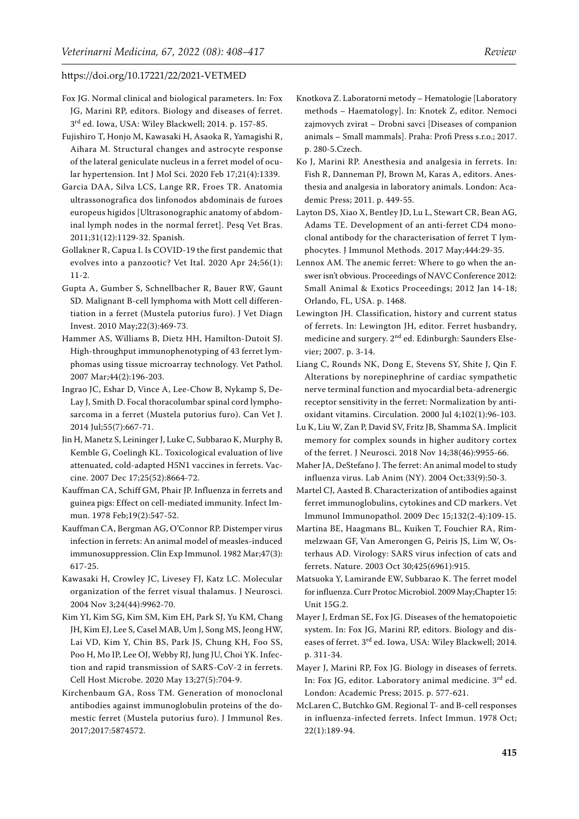- <span id="page-7-7"></span>Fox JG. Normal clinical and biological parameters. In: Fox JG, Marini RP, editors. Biology and diseases of ferret. 3rd ed. Iowa, USA: Wiley Blackwell; 2014. p. 157-85.
- <span id="page-7-4"></span>Fujishiro T, Honjo M, Kawasaki H, Asaoka R, Yamagishi R, Aihara M. Structural changes and astrocyte response of the lateral geniculate nucleus in a ferret model of ocular hypertension. Int J Mol Sci. 2020 Feb 17;21(4):1339.
- <span id="page-7-12"></span>Garcia DAA, Silva LCS, Lange RR, Froes TR. Anatomia ultrassonografica dos linfonodos abdominais de furoes europeus higidos [Ultrasonographic anatomy of abdominal lymph nodes in the normal ferret]. Pesq Vet Bras. 2011;31(12):1129-32. Spanish.
- <span id="page-7-5"></span>Gollakner R, Capua I. Is COVID-19 the first pandemic that evolves into a panzootic? Vet Ital. 2020 Apr 24;56(1): 11-2.
- <span id="page-7-14"></span>Gupta A, Gumber S, Schnellbacher R, Bauer RW, Gaunt SD. Malignant B-cell lymphoma with Mott cell differentiation in a ferret (Mustela putorius furo). J Vet Diagn Invest. 2010 May;22(3):469-73.
- <span id="page-7-16"></span>Hammer AS, Williams B, Dietz HH, Hamilton-Dutoit SJ. High-throughput immunophenotyping of 43 ferret lymphomas using tissue microarray technology. Vet Pathol. 2007 Mar;44(2):196-203.
- <span id="page-7-15"></span>Ingrao JC, Eshar D, Vince A, Lee-Chow B, Nykamp S, De-Lay J, Smith D. Focal thoracolumbar spinal cord lymphosarcoma in a ferret (Mustela putorius furo). Can Vet J. 2014 Jul;55(7):667-71.
- <span id="page-7-24"></span>Jin H, Manetz S, Leininger J, Luke C, Subbarao K, Murphy B, Kemble G, Coelingh KL. Toxicological evaluation of live attenuated, cold-adapted H5N1 vaccines in ferrets. Vaccine. 2007 Dec 17;25(52):8664-72.
- <span id="page-7-19"></span>Kauffman CA, Schiff GM, Phair JP. Influenza in ferrets and guinea pigs: Effect on cell-mediated immunity. Infect Immun. 1978 Feb;19(2):547-52.
- <span id="page-7-26"></span>Kauffman CA, Bergman AG, O'Connor RP. Distemper virus infection in ferrets: An animal model of measles-induced immunosuppression. Clin Exp Immunol. 1982 Mar;47(3): 617-25.
- <span id="page-7-2"></span>Kawasaki H, Crowley JC, Livesey FJ, Katz LC. Molecular organization of the ferret visual thalamus. J Neurosci. 2004 Nov 3;24(44):9962-70.
- <span id="page-7-6"></span>Kim YI, Kim SG, Kim SM, Kim EH, Park SJ, Yu KM, Chang JH, Kim EJ, Lee S, Casel MAB, Um J, Song MS, Jeong HW, Lai VD, Kim Y, Chin BS, Park JS, Chung KH, Foo SS, Poo H, Mo IP, Lee OJ, Webby RJ, Jung JU, Choi YK. Infection and rapid transmission of SARS-CoV-2 in ferrets. Cell Host Microbe. 2020 May 13;27(5):704-9.
- <span id="page-7-17"></span>Kirchenbaum GA, Ross TM. Generation of monoclonal antibodies against immunoglobulin proteins of the domestic ferret (Mustela putorius furo). J Immunol Res. 2017;2017:5874572.
- <span id="page-7-13"></span>Knotkova Z. Laboratorni metody – Hematologie [Laboratory methods – Haematology]. In: Knotek Z, editor. Nemoci zajmovych zvirat – Drobni savci [Diseases of companion animals – Small mammals]. Praha: Profi Press s.r.o.; 2017. p. 280-5.Czech.
- <span id="page-7-10"></span>Ko J, Marini RP. Anesthesia and analgesia in ferrets. In: Fish R, Danneman PJ, Brown M, Karas A, editors. Anesthesia and analgesia in laboratory animals. London: Academic Press; 2011. p. 449-55.
- <span id="page-7-18"></span>Layton DS, Xiao X, Bentley JD, Lu L, Stewart CR, Bean AG, Adams TE. Development of an anti-ferret CD4 monoclonal antibody for the characterisation of ferret T lymphocytes. J Immunol Methods. 2017 May;444:29-35.
- <span id="page-7-9"></span>Lennox AM. The anemic ferret: Where to go when the answer isn't obvious. Proceedings of NAVC Conference 2012: Small Animal & Exotics Proceedings; 2012 Jan 14-18; Orlando, FL, USA. p. 1468.
- <span id="page-7-11"></span>Lewington JH. Classification, history and current status of ferrets. In: Lewington JH, editor. Ferret husbandry, medicine and surgery. 2<sup>nd</sup> ed. Edinburgh: Saunders Elsevier; 2007. p. 3-14.
- <span id="page-7-1"></span>Liang C, Rounds NK, Dong E, Stevens SY, Shite J, Qin F. Alterations by norepinephrine of cardiac sympathetic nerve terminal function and myocardial beta-adrenergic receptor sensitivity in the ferret: Normalization by antioxidant vitamins. Circulation. 2000 Jul 4;102(1):96-103.
- <span id="page-7-3"></span>Lu K, Liu W, Zan P, David SV, Fritz JB, Shamma SA. Implicit memory for complex sounds in higher auditory cortex of the ferret. J Neurosci. 2018 Nov 14;38(46):9955-66.
- <span id="page-7-23"></span>Maher JA, DeStefano J. The ferret: An animal model to study influenza virus. Lab Anim (NY). 2004 Oct;33(9):50-3.
- <span id="page-7-21"></span>Martel CJ, Aasted B. Characterization of antibodies against ferret immunoglobulins, cytokines and CD markers. Vet Immunol Immunopathol. 2009 Dec 15;132(2-4):109-15.
- <span id="page-7-22"></span>Martina BE, Haagmans BL, Kuiken T, Fouchier RA, Rimmelzwaan GF, Van Amerongen G, Peiris JS, Lim W, Osterhaus AD. Virology: SARS virus infection of cats and ferrets. Nature. 2003 Oct 30;425(6961):915.
- <span id="page-7-25"></span>Matsuoka Y, Lamirande EW, Subbarao K. The ferret model for influenza. Curr Protoc Microbiol. 2009 May;Chapter 15: Unit 15G.2.
- <span id="page-7-8"></span>Mayer J, Erdman SE, Fox JG. Diseases of the hematopoietic system. In: Fox JG, Marini RP, editors. Biology and diseases of ferret. 3rd ed. Iowa, USA: Wiley Blackwell; 2014. p. 311-34.
- <span id="page-7-0"></span>Mayer J, Marini RP, Fox JG. Biology in diseases of ferrets. In: Fox JG, editor. Laboratory animal medicine. 3<sup>rd</sup> ed. London: Academic Press; 2015. p. 577-621.
- <span id="page-7-20"></span>McLaren C, Butchko GM. Regional T- and B-cell responses in influenza-infected ferrets. Infect Immun. 1978 Oct; 22(1):189-94.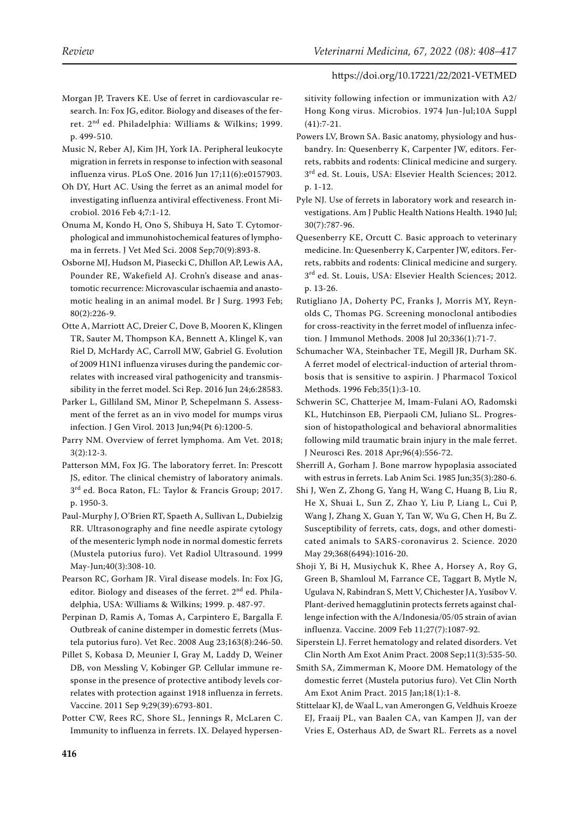- <span id="page-8-1"></span>Morgan JP, Travers KE. Use of ferret in cardiovascular research. In: Fox JG, editor. Biology and diseases of the ferret. 2nd ed. Philadelphia: Williams & Wilkins; 1999. p. 499-510.
- <span id="page-8-13"></span>Music N, Reber AJ, Kim JH, York IA. Peripheral leukocyte migration in ferrets in response to infection with seasonal influenza virus. PLoS One. 2016 Jun 17;11(6):e0157903.
- <span id="page-8-18"></span>Oh DY, Hurt AC. Using the ferret as an animal model for investigating influenza antiviral effectiveness. Front Microbiol. 2016 Feb 4;7:1-12.
- <span id="page-8-12"></span>Onuma M, Kondo H, Ono S, Shibuya H, Sato T. Cytomorphological and immunohistochemical features of lymphoma in ferrets. J Vet Med Sci. 2008 Sep;70(9):893-8.
- <span id="page-8-24"></span>Osborne MJ, Hudson M, Piasecki C, Dhillon AP, Lewis AA, Pounder RE, Wakefield AJ. Crohn's disease and anastomotic recurrence: Microvascular ischaemia and anastomotic healing in an animal model. Br J Surg. 1993 Feb; 80(2):226-9.
- <span id="page-8-3"></span>Otte A, Marriott AC, Dreier C, Dove B, Mooren K, Klingen TR, Sauter M, Thompson KA, Bennett A, Klingel K, van Riel D, McHardy AC, Carroll MW, Gabriel G. Evolution of 2009 H1N1 influenza viruses during the pandemic correlates with increased viral pathogenicity and transmissibility in the ferret model. Sci Rep. 2016 Jun 24;6:28583.
- <span id="page-8-20"></span>Parker L, Gilliland SM, Minor P, Schepelmann S. Assessment of the ferret as an in vivo model for mumps virus infection. J Gen Virol. 2013 Jun;94(Pt 6):1200-5.
- <span id="page-8-5"></span>Parry NM. Overview of ferret lymphoma. Am Vet. 2018; 3(2):12-3.
- <span id="page-8-4"></span>Patterson MM, Fox JG. The laboratory ferret. In: Prescott JS, editor. The clinical chemistry of laboratory animals. 3rd ed. Boca Raton, FL: Taylor & Francis Group; 2017. p. 1950-3.
- <span id="page-8-8"></span>Paul-Murphy J, O'Brien RT, Spaeth A, Sullivan L, Dubielzig RR. Ultrasonography and fine needle aspirate cytology of the mesenteric lymph node in normal domestic ferrets (Mustela putorius furo). Vet Radiol Ultrasound. 1999 May-Jun;40(3):308-10.
- <span id="page-8-15"></span>Pearson RC, Gorham JR. Viral disease models. In: Fox JG, editor. Biology and diseases of the ferret. 2<sup>nd</sup> ed. Philadelphia, USA: Williams & Wilkins; 1999. p. 487-97.
- <span id="page-8-23"></span>Perpinan D, Ramis A, Tomas A, Carpintero E, Bargalla F. Outbreak of canine distemper in domestic ferrets (Mustela putorius furo). Vet Rec. 2008 Aug 23;163(8):246-50.
- <span id="page-8-17"></span>Pillet S, Kobasa D, Meunier I, Gray M, Laddy D, Weiner DB, von Messling V, Kobinger GP. Cellular immune response in the presence of protective antibody levels correlates with protection against 1918 influenza in ferrets. Vaccine. 2011 Sep 9;29(39):6793-801.
- Potter CW, Rees RC, Shore SL, Jennings R, McLaren C. Immunity to influenza in ferrets. IX. Delayed hypersen-

sitivity following infection or immunization with A2/ Hong Kong virus. Microbios. 1974 Jun-Jul;10A Suppl (41):7-21.

- <span id="page-8-6"></span>Powers LV, Brown SA. Basic anatomy, physiology and husbandry. In: Quesenberry K, Carpenter JW, editors. Ferrets, rabbits and rodents: Clinical medicine and surgery. 3<sup>rd</sup> ed. St. Louis, USA: Elsevier Health Sciences; 2012. p. 1-12.
- <span id="page-8-22"></span>Pyle NJ. Use of ferrets in laboratory work and research investigations. Am J Public Health Nations Health. 1940 Jul; 30(7):787-96.
- <span id="page-8-10"></span>Quesenberry KE, Orcutt C. Basic approach to veterinary medicine. In: Quesenberry K, Carpenter JW, editors. Ferrets, rabbits and rodents: Clinical medicine and surgery.  $3<sup>rd</sup>$  ed. St. Louis, USA: Elsevier Health Sciences; 2012. p. 13-26.
- <span id="page-8-14"></span>Rutigliano JA, Doherty PC, Franks J, Morris MY, Reynolds C, Thomas PG. Screening monoclonal antibodies for cross-reactivity in the ferret model of influenza infection. J Immunol Methods. 2008 Jul 20;336(1):71-7.
- <span id="page-8-0"></span>Schumacher WA, Steinbacher TE, Megill JR, Durham SK. A ferret model of electrical-induction of arterial thrombosis that is sensitive to aspirin. J Pharmacol Toxicol Methods. 1996 Feb;35(1):3-10.
- <span id="page-8-2"></span>Schwerin SC, Chatterjee M, Imam-Fulani AO, Radomski KL, Hutchinson EB, Pierpaoli CM, Juliano SL. Progression of histopathological and behavioral abnormalities following mild traumatic brain injury in the male ferret. J Neurosci Res. 2018 Apr;96(4):556-72.
- <span id="page-8-7"></span>Sherrill A, Gorham J. Bone marrow hypoplasia associated with estrus in ferrets. Lab Anim Sci. 1985 Jun;35(3):280-6.
- <span id="page-8-21"></span>Shi J, Wen Z, Zhong G, Yang H, Wang C, Huang B, Liu R, He X, Shuai L, Sun Z, Zhao Y, Liu P, Liang L, Cui P, Wang J, Zhang X, Guan Y, Tan W, Wu G, Chen H, Bu Z. Susceptibility of ferrets, cats, dogs, and other domesticated animals to SARS-coronavirus 2. Science. 2020 May 29;368(6494):1016-20.
- <span id="page-8-16"></span>Shoji Y, Bi H, Musiychuk K, Rhee A, Horsey A, Roy G, Green B, Shamloul M, Farrance CE, Taggart B, Mytle N, Ugulava N, Rabindran S, Mett V, Chichester JA, Yusibov V. Plant-derived hemagglutinin protects ferrets against challenge infection with the A/Indonesia/05/05 strain of avian influenza. Vaccine. 2009 Feb 11;27(7):1087-92.
- <span id="page-8-9"></span>Siperstein LJ. Ferret hematology and related disorders. Vet Clin North Am Exot Anim Pract. 2008 Sep;11(3):535-50.
- <span id="page-8-11"></span>Smith SA, Zimmerman K, Moore DM. Hematology of the domestic ferret (Mustela putorius furo). Vet Clin North Am Exot Anim Pract. 2015 Jan;18(1):1-8.
- <span id="page-8-19"></span>Stittelaar KJ, de Waal L, van Amerongen G, Veldhuis Kroeze EJ, Fraaij PL, van Baalen CA, van Kampen JJ, van der Vries E, Osterhaus AD, de Swart RL. Ferrets as a novel